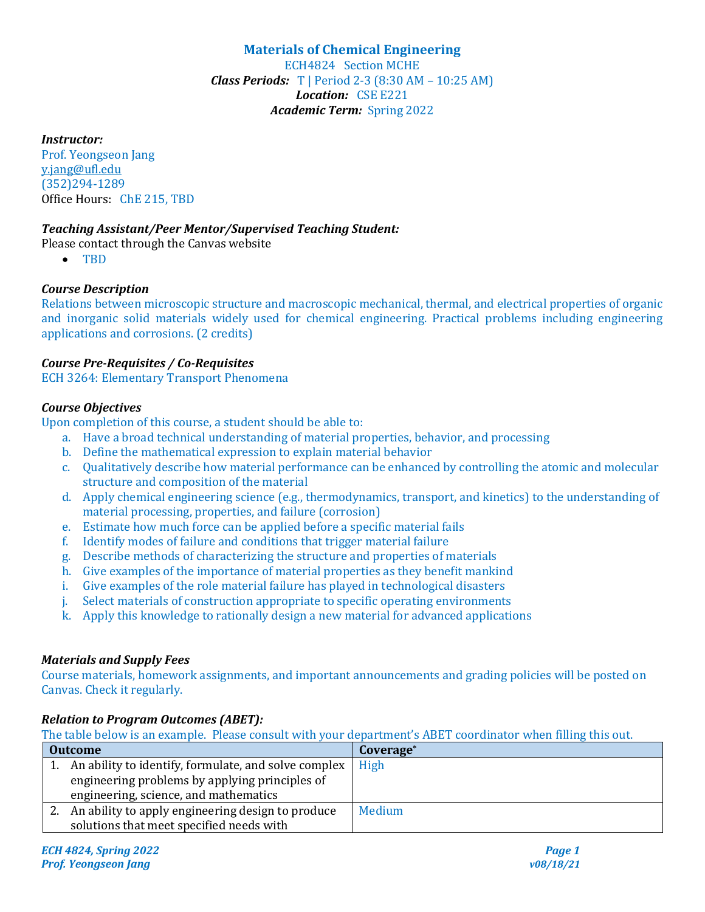## **Materials of Chemical Engineering** ECH4824 Section MCHE *Class Periods:*  $T$  | Period 2-3 (8:30 AM – 10:25 AM) Location: CSE E221 Academic Term: Spring 2022

### *Instructor:*

Prof. Yeongseon Jang y.jang@ufl.edu (352)294-1289 Office Hours: ChE 215, TBD

### *Teaching Assistant/Peer Mentor/Supervised Teaching Student:*

- Please contact through the Canvas website
	- TBD

### *Course Description*

Relations between microscopic structure and macroscopic mechanical, thermal, and electrical properties of organic and inorganic solid materials widely used for chemical engineering. Practical problems including engineering applications and corrosions. (2 credits)

### *Course Pre-Requisites / Co-Requisites*

ECH 3264: Elementary Transport Phenomena

#### *Course Objectives*

Upon completion of this course, a student should be able to:

- a. Have a broad technical understanding of material properties, behavior, and processing
- b. Define the mathematical expression to explain material behavior
- c. Qualitatively describe how material performance can be enhanced by controlling the atomic and molecular structure and composition of the material
- d. Apply chemical engineering science (e.g., thermodynamics, transport, and kinetics) to the understanding of material processing, properties, and failure (corrosion)
- e. Estimate how much force can be applied before a specific material fails
- f. Identify modes of failure and conditions that trigger material failure
- g. Describe methods of characterizing the structure and properties of materials
- h. Give examples of the importance of material properties as they benefit mankind
- i. Give examples of the role material failure has played in technological disasters
- j. Select materials of construction appropriate to specific operating environments
- k. Apply this knowledge to rationally design a new material for advanced applications

#### *Materials and Supply Fees*

Course materials, homework assignments, and important announcements and grading policies will be posted on Canvas. Check it regularly.

## *Relation to Program Outcomes (ABET):*

The table below is an example. Please consult with your department's ABET coordinator when filling this out.

| <b>Outcome</b> |                                                         | Coverage <sup>*</sup> |
|----------------|---------------------------------------------------------|-----------------------|
|                | 1. An ability to identify, formulate, and solve complex | High                  |
|                | engineering problems by applying principles of          |                       |
|                | engineering, science, and mathematics                   |                       |
|                | 2. An ability to apply engineering design to produce    | <b>Medium</b>         |
|                | solutions that meet specified needs with                |                       |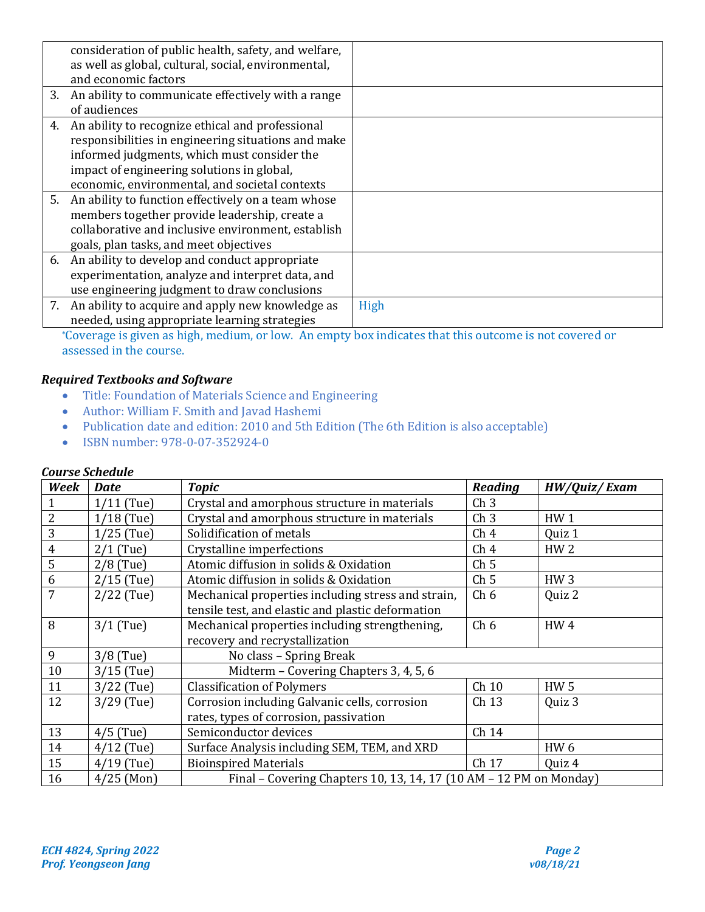| consideration of public health, safety, and welfare,  |      |
|-------------------------------------------------------|------|
| as well as global, cultural, social, environmental,   |      |
| and economic factors                                  |      |
| 3. An ability to communicate effectively with a range |      |
| of audiences                                          |      |
| 4. An ability to recognize ethical and professional   |      |
| responsibilities in engineering situations and make   |      |
| informed judgments, which must consider the           |      |
| impact of engineering solutions in global,            |      |
| economic, environmental, and societal contexts        |      |
| 5. An ability to function effectively on a team whose |      |
| members together provide leadership, create a         |      |
| collaborative and inclusive environment, establish    |      |
| goals, plan tasks, and meet objectives                |      |
| 6. An ability to develop and conduct appropriate      |      |
| experimentation, analyze and interpret data, and      |      |
| use engineering judgment to draw conclusions          |      |
| 7. An ability to acquire and apply new knowledge as   | High |
| needed, using appropriate learning strategies         |      |

\*Coverage is given as high, medium, or low. An empty box indicates that this outcome is not covered or assessed in the course.

# *Required Textbooks and Software*

- Title: Foundation of Materials Science and Engineering
- Author: William F. Smith and Javad Hashemi
- Publication date and edition: 2010 and 5th Edition (The 6th Edition is also acceptable)
- ISBN number: 978-0-07-352924-0

### *Course Schedule*

| Week           | <b>Date</b>                                                                      | <b>Topic</b>                                                       | Reading         | HW/Quiz/Exam    |
|----------------|----------------------------------------------------------------------------------|--------------------------------------------------------------------|-----------------|-----------------|
|                | $1/11$ (Tue)                                                                     | Crystal and amorphous structure in materials                       | Ch <sub>3</sub> |                 |
| 2              | $1/18$ (Tue)                                                                     | Crystal and amorphous structure in materials                       | Ch <sub>3</sub> | HW <sub>1</sub> |
| 3              | $1/25$ (Tue)                                                                     | Solidification of metals                                           | Ch <sub>4</sub> | Quiz 1          |
| $\overline{4}$ | $2/1$ (Tue)                                                                      | Crystalline imperfections                                          | Ch <sub>4</sub> | HW <sub>2</sub> |
| 5              | $2/8$ (Tue)                                                                      | Atomic diffusion in solids & Oxidation                             | Ch <sub>5</sub> |                 |
| 6              | $2/15$ (Tue)                                                                     | Atomic diffusion in solids & Oxidation                             | Ch <sub>5</sub> | HW <sub>3</sub> |
| $\overline{7}$ | $2/22$ (Tue)<br>Mechanical properties including stress and strain,               |                                                                    | Ch <sub>6</sub> | Quiz 2          |
|                |                                                                                  | tensile test, and elastic and plastic deformation                  |                 |                 |
| 8              | $3/1$ (Tue)                                                                      | Mechanical properties including strengthening,                     | Ch <sub>6</sub> | HW <sub>4</sub> |
|                |                                                                                  | recovery and recrystallization                                     |                 |                 |
| 9              | $3/8$ (Tue)                                                                      | No class - Spring Break                                            |                 |                 |
| 10             | $3/15$ (Tue)                                                                     | Midterm - Covering Chapters 3, 4, 5, 6                             |                 |                 |
| 11             | $3/22$ (Tue)                                                                     | <b>Classification of Polymers</b>                                  | Ch 10           | <b>HW5</b>      |
| 12             | Corrosion including Galvanic cells, corrosion<br>$3/29$ (Tue)<br>Ch 13<br>Quiz 3 |                                                                    |                 |                 |
|                |                                                                                  | rates, types of corrosion, passivation                             |                 |                 |
| 13             | $4/5$ (Tue)                                                                      | Semiconductor devices                                              | Ch 14           |                 |
| 14             | $4/12$ (Tue)                                                                     | Surface Analysis including SEM, TEM, and XRD                       |                 | HW <sub>6</sub> |
| 15             | $4/19$ (Tue)                                                                     | <b>Bioinspired Materials</b>                                       | Ch 17           | Quiz 4          |
| 16             | $4/25$ (Mon)                                                                     | Final - Covering Chapters 10, 13, 14, 17 (10 AM - 12 PM on Monday) |                 |                 |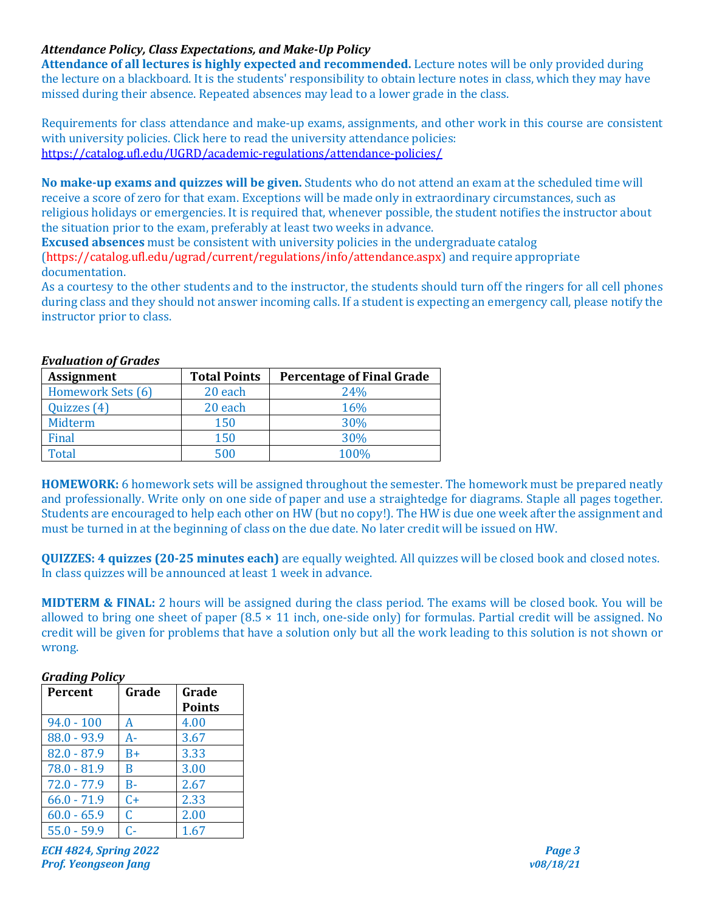## Attendance Policy, Class Expectations, and Make-Up Policy

**Attendance of all lectures is highly expected and recommended.** Lecture notes will be only provided during the lecture on a blackboard. It is the students' responsibility to obtain lecture notes in class, which they may have missed during their absence. Repeated absences may lead to a lower grade in the class.

Requirements for class attendance and make-up exams, assignments, and other work in this course are consistent with university policies. Click here to read the university attendance policies: https://catalog.ufl.edu/UGRD/academic-regulations/attendance-policies/

No make-up exams and quizzes will be given. Students who do not attend an exam at the scheduled time will receive a score of zero for that exam. Exceptions will be made only in extraordinary circumstances, such as religious holidays or emergencies. It is required that, whenever possible, the student notifies the instructor about the situation prior to the exam, preferably at least two weeks in advance.

**Excused absences** must be consistent with university policies in the undergraduate catalog

(https://catalog.ufl.edu/ugrad/current/regulations/info/attendance.aspx) and require appropriate documentation. 

As a courtesy to the other students and to the instructor, the students should turn off the ringers for all cell phones during class and they should not answer incoming calls. If a student is expecting an emergency call, please notify the instructor prior to class.

| <b>Assignment</b> | <b>Total Points</b> | <b>Percentage of Final Grade</b> |
|-------------------|---------------------|----------------------------------|
| Homework Sets (6) | 20 each             | 24%                              |
| Quizzes (4)       | 20 each             | 16%                              |
| Midterm           | 150                 | 30%                              |
| Final             | 150                 | 30%                              |
| <b>Total</b>      | 500                 | 100%                             |

#### *Evaluation of Grades*

**HOMEWORK:** 6 homework sets will be assigned throughout the semester. The homework must be prepared neatly and professionally. Write only on one side of paper and use a straightedge for diagrams. Staple all pages together. Students are encouraged to help each other on HW (but no copy!). The HW is due one week after the assignment and must be turned in at the beginning of class on the due date. No later credit will be issued on HW.

**QUIZZES: 4 quizzes (20-25 minutes each)** are equally weighted. All quizzes will be closed book and closed notes. In class quizzes will be announced at least 1 week in advance.

**MIDTERM & FINAL:** 2 hours will be assigned during the class period. The exams will be closed book. You will be allowed to bring one sheet of paper  $(8.5 \times 11 \text{ inch}, \text{one-side only})$  for formulas. Partial credit will be assigned. No credit will be given for problems that have a solution only but all the work leading to this solution is not shown or wrong.

#### *Grading Policy*

| Percent       | Grade | Grade         |
|---------------|-------|---------------|
|               |       | <b>Points</b> |
| $94.0 - 100$  | A     | 4.00          |
| $88.0 - 93.9$ | A-    | 3.67          |
| $82.0 - 87.9$ | $B+$  | 3.33          |
| $78.0 - 81.9$ | B     | 3.00          |
| $72.0 - 77.9$ | $B -$ | 2.67          |
| $66.0 - 71.9$ | $C+$  | 2.33          |
| $60.0 - 65.9$ | C     | 2.00          |
| $55.0 - 59.9$ | $C-$  | 1.67          |

*ECH* 4824, Spring 2022 *Page 3 Prof. Yeongseon Jang v08/18/21*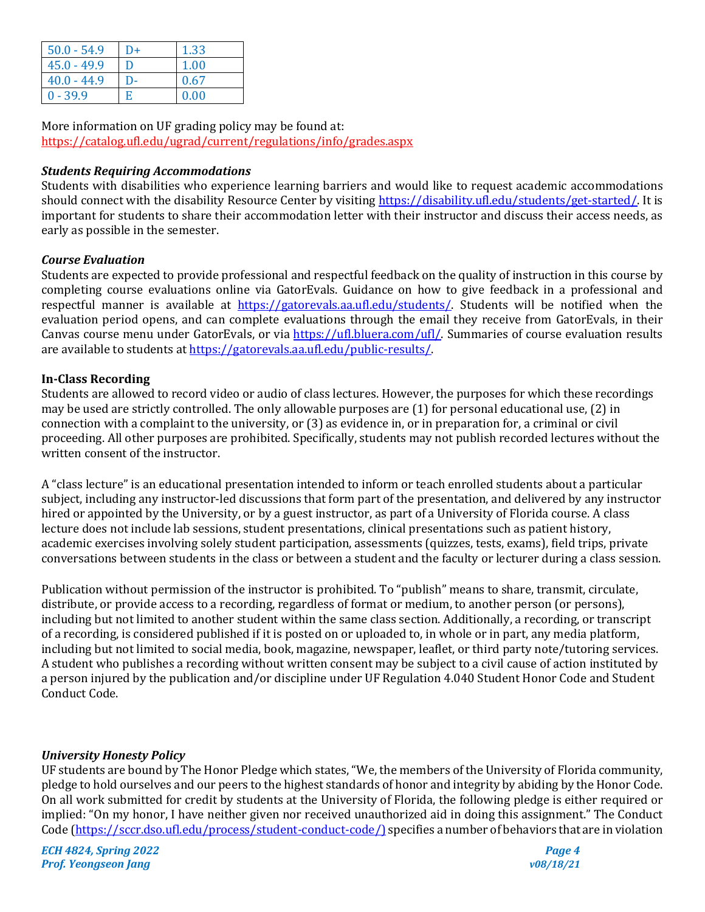| $50.0 - 54.9$ | D+ | 1.33 |
|---------------|----|------|
| $45.0 - 49.9$ | Ð  | 1.00 |
| $40.0 - 44.9$ | D- | 0.67 |
| $0 - 39.9$    | E  | 0.00 |

More information on UF grading policy may be found at: https://catalog.ufl.edu/ugrad/current/regulations/info/grades.aspx

### **Students Requiring Accommodations**

Students with disabilities who experience learning barriers and would like to request academic accommodations should connect with the disability Resource Center by visiting https://disability.ufl.edu/students/get-started/. It is important for students to share their accommodation letter with their instructor and discuss their access needs, as early as possible in the semester.

### *Course Evaluation*

Students are expected to provide professional and respectful feedback on the quality of instruction in this course by completing course evaluations online via GatorEvals. Guidance on how to give feedback in a professional and respectful manner is available at https://gatorevals.aa.ufl.edu/students/. Students will be notified when the evaluation period opens, and can complete evaluations through the email they receive from GatorEvals, in their Canvas course menu under GatorEvals, or via https://ufl.bluera.com/ufl/. Summaries of course evaluation results are available to students at https://gatorevals.aa.ufl.edu/public-results/.

### **In-Class Recording**

Students are allowed to record video or audio of class lectures. However, the purposes for which these recordings may be used are strictly controlled. The only allowable purposes are (1) for personal educational use, (2) in connection with a complaint to the university, or (3) as evidence in, or in preparation for, a criminal or civil proceeding. All other purposes are prohibited. Specifically, students may not publish recorded lectures without the written consent of the instructor.

A "class lecture" is an educational presentation intended to inform or teach enrolled students about a particular subject, including any instructor-led discussions that form part of the presentation, and delivered by any instructor hired or appointed by the University, or by a guest instructor, as part of a University of Florida course. A class lecture does not include lab sessions, student presentations, clinical presentations such as patient history, academic exercises involving solely student participation, assessments (quizzes, tests, exams), field trips, private conversations between students in the class or between a student and the faculty or lecturer during a class session.

Publication without permission of the instructor is prohibited. To "publish" means to share, transmit, circulate, distribute, or provide access to a recording, regardless of format or medium, to another person (or persons), including but not limited to another student within the same class section. Additionally, a recording, or transcript of a recording, is considered published if it is posted on or uploaded to, in whole or in part, any media platform, including but not limited to social media, book, magazine, newspaper, leaflet, or third party note/tutoring services. A student who publishes a recording without written consent may be subject to a civil cause of action instituted by a person injured by the publication and/or discipline under UF Regulation 4.040 Student Honor Code and Student Conduct Code.

## *University Honesty Policy*

UF students are bound by The Honor Pledge which states, "We, the members of the University of Florida community, pledge to hold ourselves and our peers to the highest standards of honor and integrity by abiding by the Honor Code. On all work submitted for credit by students at the University of Florida, the following pledge is either required or implied: "On my honor, I have neither given nor received unauthorized aid in doing this assignment." The Conduct Code (https://sccr.dso.ufl.edu/process/student-conduct-code/) specifies a number of behaviors that are in violation

*ECH* 4824, Spring 2022 *Page 4 Prof. Yeongseon Jang v08/18/21*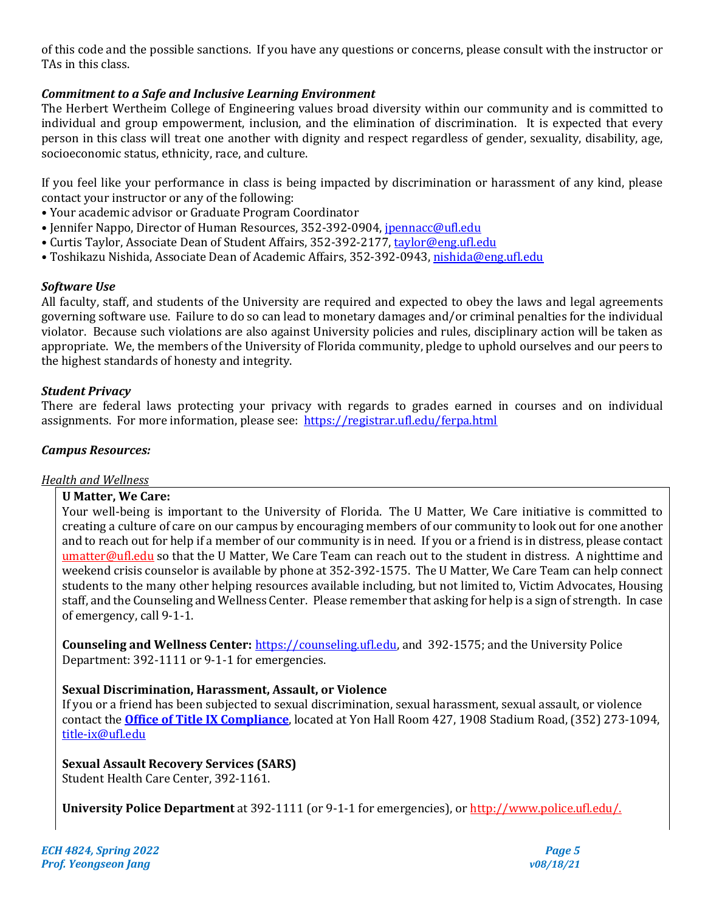of this code and the possible sanctions. If you have any questions or concerns, please consult with the instructor or TAs in this class.

## **Commitment to a Safe and Inclusive Learning Environment**

The Herbert Wertheim College of Engineering values broad diversity within our community and is committed to individual and group empowerment, inclusion, and the elimination of discrimination. It is expected that every person in this class will treat one another with dignity and respect regardless of gender, sexuality, disability, age, socioeconomic status, ethnicity, race, and culture.

If you feel like your performance in class is being impacted by discrimination or harassment of any kind, please contact your instructor or any of the following:

- Your academic advisor or Graduate Program Coordinator
- Jennifer Nappo, Director of Human Resources, 352-392-0904, jpennacc@ufl.edu
- Curtis Taylor, Associate Dean of Student Affairs, 352-392-2177, taylor@eng.ufl.edu
- Toshikazu Nishida, Associate Dean of Academic Affairs, 352-392-0943, nishida@eng.ufl.edu

#### *Software Use*

All faculty, staff, and students of the University are required and expected to obey the laws and legal agreements governing software use. Failure to do so can lead to monetary damages and/or criminal penalties for the individual violator. Because such violations are also against University policies and rules, disciplinary action will be taken as appropriate. We, the members of the University of Florida community, pledge to uphold ourselves and our peers to the highest standards of honesty and integrity.

### *Student Privacy*

There are federal laws protecting your privacy with regards to grades earned in courses and on individual assignments. For more information, please see: https://registrar.ufl.edu/ferpa.html

## *Campus Resources:*

#### **Health and Wellness**

#### **U Matter, We Care:**

Your well-being is important to the University of Florida. The U Matter, We Care initiative is committed to creating a culture of care on our campus by encouraging members of our community to look out for one another and to reach out for help if a member of our community is in need. If you or a friend is in distress, please contact umatter@ufl.edu so that the U Matter, We Care Team can reach out to the student in distress. A nighttime and weekend crisis counselor is available by phone at 352-392-1575. The U Matter, We Care Team can help connect students to the many other helping resources available including, but not limited to, Victim Advocates, Housing staff, and the Counseling and Wellness Center. Please remember that asking for help is a sign of strength. In case of emergency, call 9-1-1.

**Counseling and Wellness Center:** https://counseling.ufl.edu, and 392-1575; and the University Police Department: 392-1111 or 9-1-1 for emergencies.

## **Sexual Discrimination, Harassment, Assault, or Violence**

If you or a friend has been subjected to sexual discrimination, sexual harassment, sexual assault, or violence contact the **Office of Title IX Compliance**, located at Yon Hall Room 427, 1908 Stadium Road, (352) 273-1094, title-ix@ufl.edu

## **Sexual Assault Recovery Services (SARS)**

Student Health Care Center, 392-1161.

**University Police Department** at 392-1111 (or 9-1-1 for emergencies), or http://www.police.ufl.edu/.